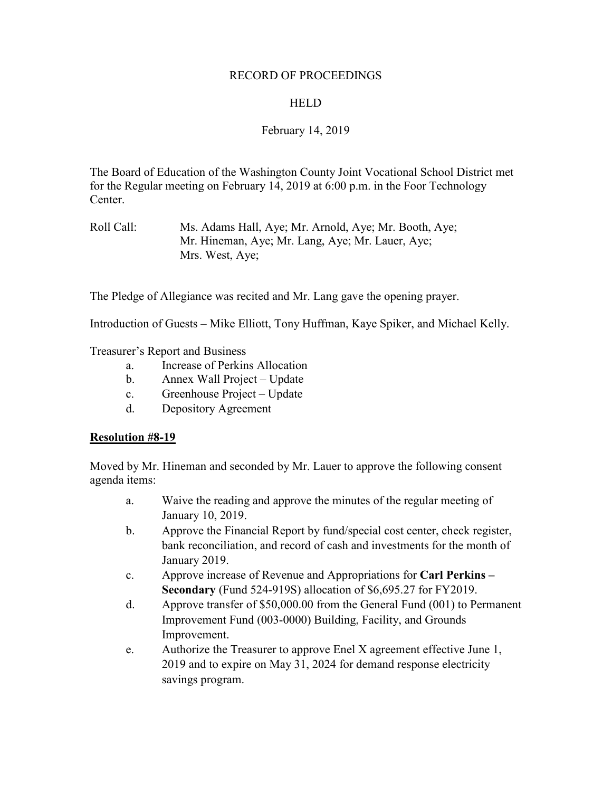### RECORD OF PROCEEDINGS

### **HELD**

## February 14, 2019

The Board of Education of the Washington County Joint Vocational School District met for the Regular meeting on February 14, 2019 at 6:00 p.m. in the Foor Technology Center.

Roll Call: Ms. Adams Hall, Aye; Mr. Arnold, Aye; Mr. Booth, Aye; Mr. Hineman, Aye; Mr. Lang, Aye; Mr. Lauer, Aye; Mrs. West, Aye;

The Pledge of Allegiance was recited and Mr. Lang gave the opening prayer.

Introduction of Guests – Mike Elliott, Tony Huffman, Kaye Spiker, and Michael Kelly.

Treasurer's Report and Business

- a. Increase of Perkins Allocation
- b. Annex Wall Project Update
- c. Greenhouse Project Update
- d. Depository Agreement

### **Resolution #8-19**

Moved by Mr. Hineman and seconded by Mr. Lauer to approve the following consent agenda items:

- a. Waive the reading and approve the minutes of the regular meeting of January 10, 2019.
- b. Approve the Financial Report by fund/special cost center, check register, bank reconciliation, and record of cash and investments for the month of January 2019.
- c. Approve increase of Revenue and Appropriations for **Carl Perkins – Secondary** (Fund 524-919S) allocation of \$6,695.27 for FY2019.
- d. Approve transfer of \$50,000.00 from the General Fund (001) to Permanent Improvement Fund (003-0000) Building, Facility, and Grounds Improvement.
- e. Authorize the Treasurer to approve Enel X agreement effective June 1, 2019 and to expire on May 31, 2024 for demand response electricity savings program.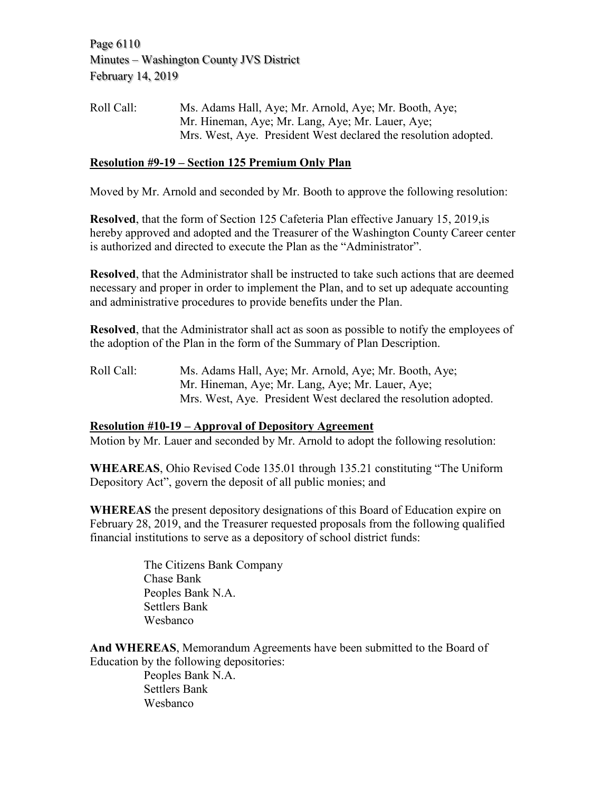Page 6110 Minutes – Washington County JVS District February 14, 2019

Roll Call: Ms. Adams Hall, Aye; Mr. Arnold, Aye; Mr. Booth, Aye; Mr. Hineman, Aye; Mr. Lang, Aye; Mr. Lauer, Aye; Mrs. West, Aye. President West declared the resolution adopted.

## **Resolution #9-19 – Section 125 Premium Only Plan**

Moved by Mr. Arnold and seconded by Mr. Booth to approve the following resolution:

**Resolved**, that the form of Section 125 Cafeteria Plan effective January 15, 2019,is hereby approved and adopted and the Treasurer of the Washington County Career center is authorized and directed to execute the Plan as the "Administrator".

**Resolved**, that the Administrator shall be instructed to take such actions that are deemed necessary and proper in order to implement the Plan, and to set up adequate accounting and administrative procedures to provide benefits under the Plan.

**Resolved**, that the Administrator shall act as soon as possible to notify the employees of the adoption of the Plan in the form of the Summary of Plan Description.

Roll Call: Ms. Adams Hall, Aye; Mr. Arnold, Aye; Mr. Booth, Aye; Mr. Hineman, Aye; Mr. Lang, Aye; Mr. Lauer, Aye; Mrs. West, Aye. President West declared the resolution adopted.

### **Resolution #10-19 – Approval of Depository Agreement**

Motion by Mr. Lauer and seconded by Mr. Arnold to adopt the following resolution:

**WHEAREAS**, Ohio Revised Code 135.01 through 135.21 constituting "The Uniform Depository Act", govern the deposit of all public monies; and

**WHEREAS** the present depository designations of this Board of Education expire on February 28, 2019, and the Treasurer requested proposals from the following qualified financial institutions to serve as a depository of school district funds:

> The Citizens Bank Company Chase Bank Peoples Bank N.A. Settlers Bank Wesbanco

**And WHEREAS**, Memorandum Agreements have been submitted to the Board of Education by the following depositories:

Peoples Bank N.A. Settlers Bank Wesbanco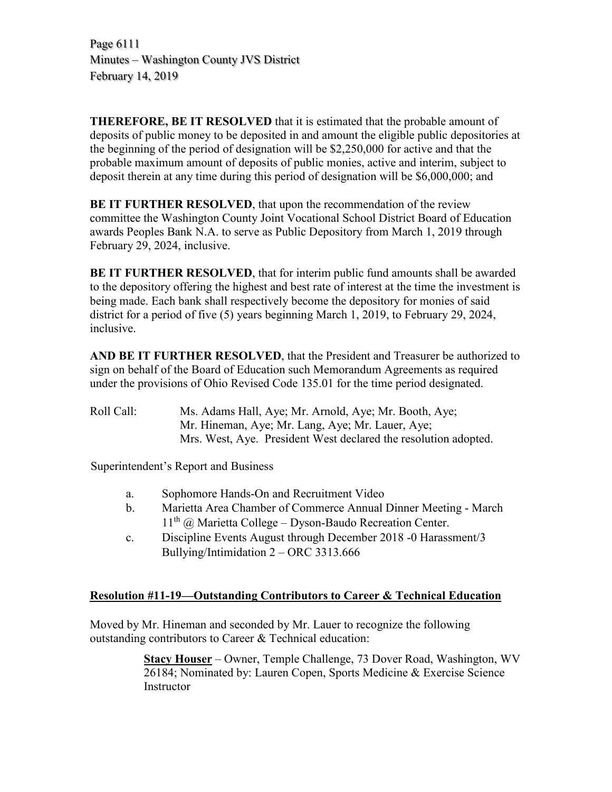Page 6111 Minutes – Washington County JVS District February 14, 2019

**THEREFORE, BE IT RESOLVED** that it is estimated that the probable amount of deposits of public money to be deposited in and amount the eligible public depositories at the beginning of the period of designation will be \$2,250,000 for active and that the probable maximum amount of deposits of public monies, active and interim, subject to deposit therein at any time during this period of designation will be \$6,000,000; and

**BE IT FURTHER RESOLVED**, that upon the recommendation of the review committee the Washington County Joint Vocational School District Board of Education awards Peoples Bank N.A. to serve as Public Depository from March 1, 2019 through February 29, 2024, inclusive.

**BE IT FURTHER RESOLVED**, that for interim public fund amounts shall be awarded to the depository offering the highest and best rate of interest at the time the investment is being made. Each bank shall respectively become the depository for monies of said district for a period of five (5) years beginning March 1, 2019, to February 29, 2024, inclusive.

**AND BE IT FURTHER RESOLVED**, that the President and Treasurer be authorized to sign on behalf of the Board of Education such Memorandum Agreements as required under the provisions of Ohio Revised Code 135.01 for the time period designated.

Roll Call: Ms. Adams Hall, Aye; Mr. Arnold, Aye; Mr. Booth, Aye; Mr. Hineman, Aye; Mr. Lang, Aye; Mr. Lauer, Aye; Mrs. West, Aye. President West declared the resolution adopted.

Superintendent's Report and Business

- a. Sophomore Hands-On and Recruitment Video
- b. Marietta Area Chamber of Commerce Annual Dinner Meeting March  $11<sup>th</sup>$  @ Marietta College – Dyson-Baudo Recreation Center.
- c. Discipline Events August through December 2018 -0 Harassment/3 Bullying/Intimidation 2 – ORC 3313.666

# **Resolution #11-19—Outstanding Contributors to Career & Technical Education**

Moved by Mr. Hineman and seconded by Mr. Lauer to recognize the following outstanding contributors to Career & Technical education:

> **Stacy Houser** – Owner, Temple Challenge, 73 Dover Road, Washington, WV 26184; Nominated by: Lauren Copen, Sports Medicine & Exercise Science Instructor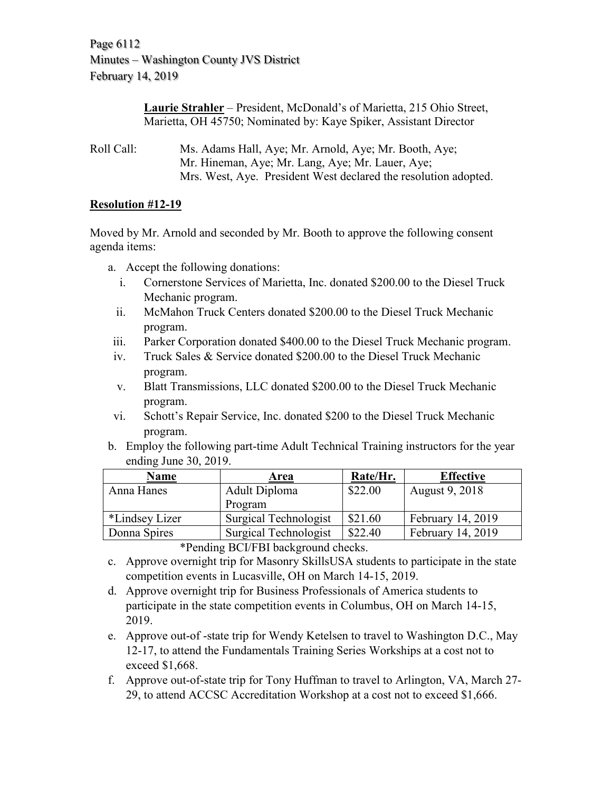Page 6112 Minutes – Washington County JVS District February 14, 2019

> **Laurie Strahler** – President, McDonald's of Marietta, 215 Ohio Street, Marietta, OH 45750; Nominated by: Kaye Spiker, Assistant Director

Roll Call: Ms. Adams Hall, Aye; Mr. Arnold, Aye; Mr. Booth, Aye; Mr. Hineman, Aye; Mr. Lang, Aye; Mr. Lauer, Aye; Mrs. West, Aye. President West declared the resolution adopted.

## **Resolution #12-19**

Moved by Mr. Arnold and seconded by Mr. Booth to approve the following consent agenda items:

- a. Accept the following donations:
	- i. Cornerstone Services of Marietta, Inc. donated \$200.00 to the Diesel Truck Mechanic program.
	- ii. McMahon Truck Centers donated \$200.00 to the Diesel Truck Mechanic program.
- iii. Parker Corporation donated \$400.00 to the Diesel Truck Mechanic program.
- iv. Truck Sales & Service donated \$200.00 to the Diesel Truck Mechanic program.
- v. Blatt Transmissions, LLC donated \$200.00 to the Diesel Truck Mechanic program.
- vi. Schott's Repair Service, Inc. donated \$200 to the Diesel Truck Mechanic program.
- b. Employ the following part-time Adult Technical Training instructors for the year ending June 30, 2019.

| Area                  | Rate/Hr. | <b>Effective</b>  |
|-----------------------|----------|-------------------|
| Adult Diploma         | \$22.00  | August 9, 2018    |
| Program               |          |                   |
| Surgical Technologist | \$21.60  | February 14, 2019 |
| Surgical Technologist | \$22.40  | February 14, 2019 |
|                       |          |                   |

\*Pending BCI/FBI background checks.

- c. Approve overnight trip for Masonry SkillsUSA students to participate in the state competition events in Lucasville, OH on March 14-15, 2019.
- d. Approve overnight trip for Business Professionals of America students to participate in the state competition events in Columbus, OH on March 14-15, 2019.
- e. Approve out-of -state trip for Wendy Ketelsen to travel to Washington D.C., May 12-17, to attend the Fundamentals Training Series Workships at a cost not to exceed \$1,668.
- f. Approve out-of-state trip for Tony Huffman to travel to Arlington, VA, March 27- 29, to attend ACCSC Accreditation Workshop at a cost not to exceed \$1,666.